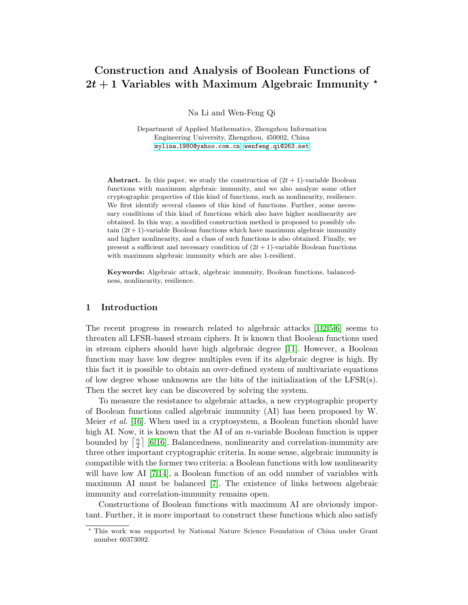# Construction and Analysis of Boolean Functions of  $2t + 1$  Variables with Maximum Algebraic Immunity  $\star$

Na Li and Wen-Feng Qi

Department of Applied Mathematics, Zhengzhou Information Engineering University, Zhengzhou, 450002, China mylina [1980@yahoo.com.cn](mylina_1980@yahoo.com.cn), <wenfeng.qi@263.net>

Abstract. In this paper, we study the construction of  $(2t + 1)$ -variable Boolean functions with maximum algebraic immunity, and we also analyze some other cryptographic properties of this kind of functions, such as nonlinearity, resilience. We first identify several classes of this kind of functions. Further, some necessary conditions of this kind of functions which also have higher nonlinearity are obtained. In this way, a modified construction method is proposed to possibly obtain  $(2t+1)$ -variable Boolean functions which have maximum algebraic immunity and higher nonlinearity, and a class of such functions is also obtained. Finally, we present a sufficient and necessary condition of  $(2t + 1)$ -variable Boolean functions with maximum algebraic immunity which are also 1-resilient.

Keywords: Algebraic attack, algebraic immunity, Boolean functions, balancedness, nonlinearity, resilience.

# 1 Introduction

The recent progress in research related to algebraic attacks [\[1](#page-13-0)[,2,](#page-13-1)[5](#page-13-2)[,6\]](#page-13-3) seems to threaten all LFSR-based stream ciphers. It is known that Boolean functions used in stream ciphers should have high algebraic degree [\[11\]](#page-14-0). However, a Boolean function may have low degree multiples even if its algebraic degree is high. By this fact it is possible to obtain an over-defined system of multivariate equations of low degree whose unknowns are the bits of the initialization of the LFSR $(s)$ . Then the secret key can be discovered by solving the system.

To measure the resistance to algebraic attacks, a new cryptographic property of Boolean functions called algebraic immunity (AI) has been proposed by W. Meier et al. [\[16\]](#page-14-1). When used in a cryptosystem, a Boolean function should have high AI. Now, it is known that the AI of an *n*-variable Boolean function is upper bounded by  $\lceil \frac{n}{2} \rceil$  $\frac{n}{2}$  [\[6,](#page-13-3)[16\]](#page-14-1). Balancedness, nonlinearity and correlation-immunity are three other important cryptographic criteria. In some sense, algebraic immunity is compatible with the former two criteria: a Boolean functions with low nonlinearity will have low AI [\[7](#page-14-2)[,14\]](#page-14-3), a Boolean function of an odd number of variables with maximum AI must be balanced [\[7\]](#page-14-2). The existence of links between algebraic immunity and correlation-immunity remains open.

Constructions of Boolean functions with maximum AI are obviously important. Further, it is more important to construct these functions which also satisfy

<sup>?</sup> This work was supported by National Nature Science Foundation of China under Grant number 60373092.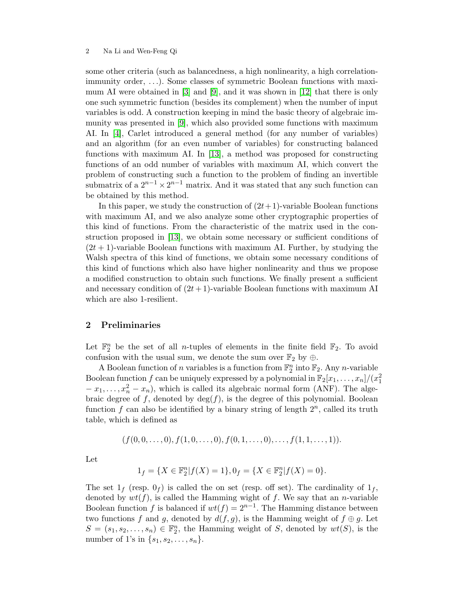some other criteria (such as balancedness, a high nonlinearity, a high correlationimmunity order, . . .). Some classes of symmetric Boolean functions with maximum AI were obtained in [\[3\]](#page-13-4) and [\[9\]](#page-14-4), and it was shown in [\[12\]](#page-14-5) that there is only one such symmetric function (besides its complement) when the number of input variables is odd. A construction keeping in mind the basic theory of algebraic immunity was presented in [\[9\]](#page-14-4), which also provided some functions with maximum AI. In [\[4\]](#page-13-5), Carlet introduced a general method (for any number of variables) and an algorithm (for an even number of variables) for constructing balanced functions with maximum AI. In [\[13\]](#page-14-6), a method was proposed for constructing functions of an odd number of variables with maximum AI, which convert the problem of constructing such a function to the problem of finding an invertible submatrix of a  $2^{n-1} \times 2^{n-1}$  matrix. And it was stated that any such function can be obtained by this method.

In this paper, we study the construction of  $(2t+1)$ -variable Boolean functions with maximum AI, and we also analyze some other cryptographic properties of this kind of functions. From the characteristic of the matrix used in the construction proposed in [\[13\]](#page-14-6), we obtain some necessary or sufficient conditions of  $(2t + 1)$ -variable Boolean functions with maximum AI. Further, by studying the Walsh spectra of this kind of functions, we obtain some necessary conditions of this kind of functions which also have higher nonlinearity and thus we propose a modified construction to obtain such functions. We finally present a sufficient and necessary condition of  $(2t+1)$ -variable Boolean functions with maximum AI which are also 1-resilient.

# 2 Preliminaries

Let  $\mathbb{F}_2^n$  be the set of all *n*-tuples of elements in the finite field  $\mathbb{F}_2$ . To avoid confusion with the usual sum, we denote the sum over  $\mathbb{F}_2$  by  $\oplus$ .

A Boolean function of n variables is a function from  $\mathbb{F}_2^n$  into  $\mathbb{F}_2$ . Any n-variable Boolean function  $f$  can be uniquely expressed by a polynomial in  $\mathbb{F}_2[x_1, \ldots, x_n]/(x_1^2)$  $-x_1, \ldots, x_n^2-x_n$ , which is called its algebraic normal form (ANF). The algebraic degree of f, denoted by  $deg(f)$ , is the degree of this polynomial. Boolean function  $f$  can also be identified by a binary string of length  $2<sup>n</sup>$ , called its truth table, which is defined as

$$
(f(0,0,\ldots,0),f(1,0,\ldots,0),f(0,1,\ldots,0),\ldots,f(1,1,\ldots,1)).
$$

Let

$$
1_f = \{ X \in \mathbb{F}_2^n | f(X) = 1 \}, 0_f = \{ X \in \mathbb{F}_2^n | f(X) = 0 \}.
$$

The set  $1_f$  (resp.  $0_f$ ) is called the on set (resp. off set). The cardinality of  $1_f$ , denoted by  $wt(f)$ , is called the Hamming wight of f. We say that an *n*-variable Boolean function f is balanced if  $wt(f) = 2^{n-1}$ . The Hamming distance between two functions f and g, denoted by  $d(f, g)$ , is the Hamming weight of  $f \oplus g$ . Let  $S = (s_1, s_2, \ldots, s_n) \in \mathbb{F}_2^n$ , the Hamming weight of S, denoted by  $wt(S)$ , is the number of 1's in  $\{s_1, s_2, ..., s_n\}.$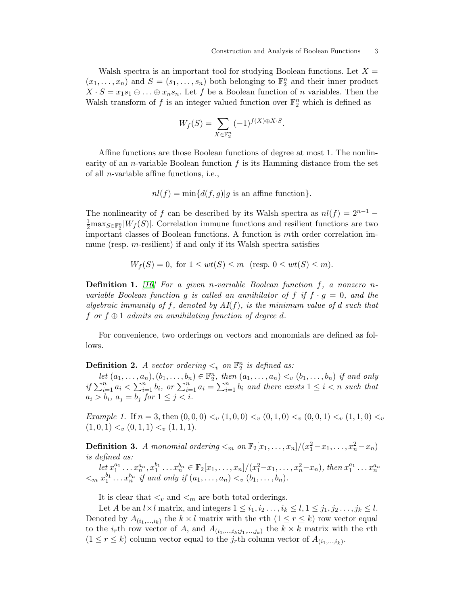Walsh spectra is an important tool for studying Boolean functions. Let  $X =$  $(x_1, \ldots, x_n)$  and  $S = (s_1, \ldots, s_n)$  both belonging to  $\mathbb{F}_2^n$  and their inner product  $X \cdot S = x_1 s_1 \oplus \ldots \oplus x_n s_n$ . Let f be a Boolean function of n variables. Then the Walsh transform of  $f$  is an integer valued function over  $\mathbb{F}_2^n$  which is defined as

$$
W_f(S) = \sum_{X \in \mathbb{F}_2^n} (-1)^{f(X) \oplus X \cdot S}.
$$

Affine functions are those Boolean functions of degree at most 1. The nonlinearity of an *n*-variable Boolean function  $f$  is its Hamming distance from the set of all n-variable affine functions, i.e.,

$$
nl(f) = \min\{d(f,g)|g \text{ is an affine function}\}.
$$

The nonlinearity of f can be described by its Walsh spectra as  $nl(f) = 2^{n-1} \frac{1}{2}$ max<sub>S∈F<sup>n</sup></sub>|W<sub>f</sub>(S)|. Correlation immune functions and resilient functions are two important classes of Boolean functions. A function is mth order correlation immune (resp. m-resilient) if and only if its Walsh spectra satisfies

$$
W_f(S) = 0, \text{ for } 1 \le wt(S) \le m \text{ (resp. } 0 \le wt(S) \le m).
$$

**Definition 1.** [\[16\]](#page-14-1) For a given n-variable Boolean function f, a nonzero nvariable Boolean function g is called an annihilator of f if  $f \cdot g = 0$ , and the algebraic immunity of f, denoted by  $AI(f)$ , is the minimum value of d such that f or  $f \oplus 1$  admits an annihilating function of degree d.

For convenience, two orderings on vectors and monomials are defined as follows.

**Definition 2.** A vector ordering  $\lt_v$  on  $\mathbb{F}_2^n$  is defined as:

let  $(a_1, \ldots, a_n), (b_1, \ldots, b_n) \in \mathbb{F}_2^n$ , then  $(a_1, \ldots, a_n) <_v (b_1, \ldots, b_n)$  if and only if  $\sum_{i=1}^n a_i < \sum_{i=1}^n b_i$ , or  $\sum_{i=1}^n a_i = \sum_{i=1}^n b_i$  and there exists  $1 \leq i < n$  such that  $a_i > b_i, a_j = b_j \text{ for } 1 \leq j < i.$ 

Example 1. If  $n = 3$ , then  $(0, 0, 0) <sub>v</sub> (1, 0, 0) <sub>v</sub> (0, 1, 0) <sub>v</sub> (0, 0, 1) <sub>v</sub> (1, 1, 0) <sub>v</sub>$  $(1, 0, 1) < v(0, 1, 1) < v(1, 1, 1).$ 

**Definition 3.** A monomial ordering  $\lt_m$  on  $\mathbb{F}_2[x_1,\ldots,x_n]/(x_1^2-x_1,\ldots,x_n^2-x_n)$ is defined as:

 $let x_1^{a_1} \ldots x_n^{a_n}, x_1^{b_1} \ldots x_n^{b_n} \in \mathbb{F}_2[x_1, \ldots, x_n]/(x_1^2 - x_1, \ldots, x_n^2 - x_n), then x_1^{a_1} \ldots x_n^{a_n}$  $\langle a_1 x_1^{b_1} ... x_n^{b_n} \rangle$  if and only if  $(a_1, ..., a_n) \langle b_1, ..., b_n \rangle$ .

It is clear that  $<_{\boldsymbol{v}}$  and  $<_{\boldsymbol{m}}$  are both total orderings.

Let A be an  $l \times l$  matrix, and integers  $1 \leq i_1, i_2, \ldots, i_k \leq l, 1 \leq j_1, j_2, \ldots, j_k \leq l$ . Denoted by  $A_{(i_1,\ldots,i_k)}$  the  $k \times l$  matrix with the rth  $(1 \leq r \leq k)$  row vector equal to the *i<sub>r</sub>*th row vector of A, and  $A_{(i_1,...,i_k;j_1,...,j_k)}$  the  $k \times k$  matrix with the rth  $(1 \leq r \leq k)$  column vector equal to the  $j_r$ <sup>th</sup> column vector of  $A_{(i_1,\ldots,i_k)}$ .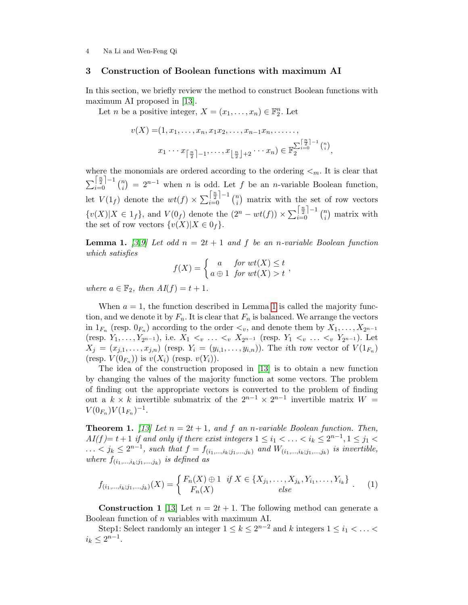### 3 Construction of Boolean functions with maximum AI

In this section, we briefly review the method to construct Boolean functions with maximum AI proposed in [\[13\]](#page-14-6).

Let *n* be a positive integer,  $X = (x_1, \ldots, x_n) \in \mathbb{F}_2^n$ . Let

$$
v(X) = (1, x_1, \dots, x_n, x_1 x_2, \dots, x_{n-1} x_n, \dots, \dots, \dots)
$$
  

$$
x_1 \cdots x_{\lceil \frac{n}{2} \rceil - 1}, \dots, x_{\lfloor \frac{n}{2} \rfloor + 2} \cdots x_n) \in \mathbb{F}_2^{\sum_{i=0}^{\lceil \frac{n}{2} \rceil - 1} {n \choose i}},
$$

where the monomials are ordered according to the ordering  $\lt_m$ . It is clear that  $\sum_{i=0}^{\left\lceil\frac{n}{2}\right\rceil-1} \binom{n}{i}$  $\binom{n}{i} = 2^{n-1}$  when *n* is odd. Let *f* be an *n*-variable Boolean function, let  $V(1_f)$  denote the  $wt(f) \times \sum_{i=0}^{\lceil \frac{n}{2} \rceil - 1} \binom{n}{i}$  $\binom{n}{i}$  matrix with the set of row vectors  ${v(X)|X \in 1_f}$ , and  $V(0_f)$  denote the  $(2^n - wt(f)) \times \sum_{i=0}^{\lceil \frac{n}{2} \rceil - 1} {n \choose i}$  $\binom{n}{i}$  matrix with the set of row vectors  $\{v(X)|X \in 0_f\}.$ 

<span id="page-3-0"></span>**Lemma 1.** [\[3,](#page-13-4)[9\]](#page-14-4) Let odd  $n = 2t + 1$  and f be an n-variable Boolean function which satisfies

$$
f(X) = \begin{cases} a & \text{for } wt(X) \leq t \\ a \oplus 1 & \text{for } wt(X) > t \end{cases}
$$

where  $a \in \mathbb{F}_2$ , then  $AI(f) = t + 1$ .

When  $a = 1$  $a = 1$ , the function described in Lemma 1 is called the majority function, and we denote it by  $F_n$ . It is clear that  $F_n$  is balanced. We arrange the vectors in  $1_{F_n}$  (resp.  $0_{F_n}$ ) according to the order  $\lt_v$ , and denote them by  $X_1, \ldots, X_{2^{n-1}}$ (resp.  $Y_1, \ldots, Y_{2n-1}$ ), i.e.  $X_1 <_{v} \ldots <_{v} X_{2n-1}$  (resp.  $Y_1 <_{v} \ldots <_{v} Y_{2n-1}$ ). Let  $X_j = (x_{j,1},\ldots,x_{j,n})$  (resp.  $Y_i = (y_{i,1},\ldots,y_{i,n})$ ). The *i*th row vector of  $V(1_{F_n})$ (resp.  $V(0_{F_n})$ ) is  $v(X_i)$  (resp.  $v(Y_i)$ ).

The idea of the construction proposed in [\[13\]](#page-14-6) is to obtain a new function by changing the values of the majority function at some vectors. The problem of finding out the appropriate vectors is converted to the problem of finding out a  $k \times k$  invertible submatrix of the  $2^{n-1} \times 2^{n-1}$  invertible matrix  $W =$  $V(0_{F_n})V(1_{F_n})^{-1}.$ 

<span id="page-3-2"></span>**Theorem 1.** [\[13\]](#page-14-6) Let  $n = 2t + 1$ , and  $f$  an n-variable Boolean function. Then,  $AI(f)=t+1$  if and only if there exist integers  $1 \leq i_1 < \ldots < i_k \leq 2^{n-1}, 1 \leq j_1 < k$ ... < j<sub>k</sub> ≤ 2<sup>n-1</sup>, such that  $f = f_{(i_1,...,i_k;j_1,...,j_k)}$  and  $W_{(i_1,...,i_k;j_1,...,j_k)}$  is invertible, where  $f_{(i_1,\ldots,i_k;j_1,\ldots,j_k)}$  is defined as

<span id="page-3-1"></span>
$$
f_{(i_1,\ldots,i_k;j_1,\ldots,j_k)}(X) = \begin{cases} F_n(X) \oplus 1 & \text{if } X \in \{X_{j_1},\ldots,X_{j_k},Y_{i_1},\ldots,Y_{i_k}\} \\ F_n(X) & \text{else} \end{cases} (1)
$$

**Construction 1** [\[13\]](#page-14-6) Let  $n = 2t + 1$ . The following method can generate a Boolean function of n variables with maximum AI.

Step1: Select randomly an integer  $1 \leq k \leq 2^{n-2}$  and k integers  $1 \leq i_1 < \ldots <$  $i_k \leq 2^{n-1}$ .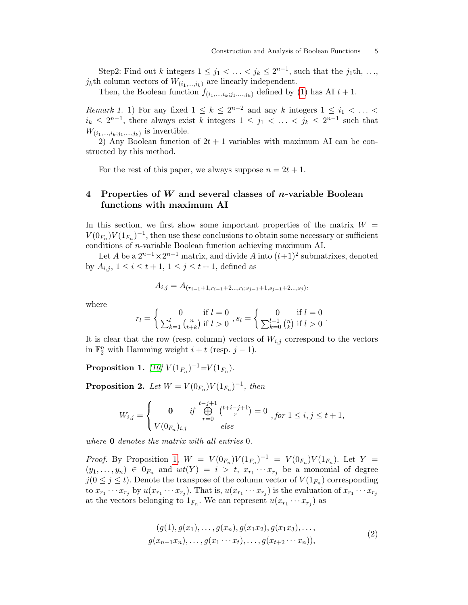Step2: Find out k integers  $1 \leq j_1 < \ldots < j_k \leq 2^{n-1}$ , such that the  $j_1$ th, ...,  $j_k$ th column vectors of  $W_{(i_1,...,i_k)}$  are linearly independent.

Then, the Boolean function  $f_{(i_1,...,i_k;j_1,...,j_k)}$  defined by [\(1\)](#page-3-1) has AI  $t + 1$ .

*Remark 1.* 1) For any fixed  $1 \leq k \leq 2^{n-2}$  and any k integers  $1 \leq i_1 < \ldots <$  $i_k \leq 2^{n-1}$ , there always exist k integers  $1 \leq j_1 < \ldots < j_k \leq 2^{n-1}$  such that  $W_{(i_1,\ldots,i_k;j_1,\ldots,j_k)}$  is invertible.

2) Any Boolean function of  $2t + 1$  variables with maximum AI can be constructed by this method.

For the rest of this paper, we always suppose  $n = 2t + 1$ .

# 4 Properties of W and several classes of  $n$ -variable Boolean functions with maximum AI

In this section, we first show some important properties of the matrix  $W =$  $V(0_{F_n})V(1_{F_n})^{-1}$ , then use these conclusions to obtain some necessary or sufficient conditions of n-variable Boolean function achieving maximum AI.

Let A be a  $2^{n-1} \times 2^{n-1}$  matrix, and divide A into  $(t+1)^2$  submatrixes, denoted by  $A_{i,j}, 1 \le i \le t+1, 1 \le j \le t+1$ , defined as

$$
A_{i,j} = A_{(r_{i-1}+1,r_{i-1}+2\ldots,r_i;s_{j-1}+1,s_{j-1}+2\ldots,s_j)},
$$

where

$$
r_l = \begin{cases} 0 & \text{if } l = 0 \\ \sum_{k=1}^l {n \choose t+k} & \text{if } l > 0 \end{cases}, s_l = \begin{cases} 0 & \text{if } l = 0 \\ \sum_{k=0}^{l-1} {n \choose k} & \text{if } l > 0 \end{cases}.
$$

It is clear that the row (resp. column) vectors of  $W_{i,j}$  correspond to the vectors in  $\mathbb{F}_2^n$  with Hamming weight  $i + t$  (resp.  $j - 1$ ).

<span id="page-4-0"></span>**Proposition 1.** [\[10\]](#page-14-7)  $V(1_{F_n})^{-1} = V(1_{F_n})$ .

<span id="page-4-2"></span>**Proposition 2.** Let  $W = V(0_{F_n}) V(1_{F_n})^{-1}$ , then

$$
W_{i,j} = \begin{cases} \n\mathbf{0} & \text{if } \bigoplus_{r=0}^{t-j+1} {t+i-j+1 \choose r} = 0 \\ V(0_{F_n})_{i,j} & \text{else} \n\end{cases}, \text{for } 1 \le i, j \le t+1,
$$

where **0** denotes the matrix with all entries 0.

*Proof.* By Proposition [1,](#page-4-0)  $W = V(0_{F_n})V(1_{F_n})^{-1} = V(0_{F_n})V(1_{F_n})$ . Let  $Y =$  $(y_1, \ldots, y_n) \in 0_{F_n}$  and  $wt(Y) = i > t$ ,  $x_{r_1} \cdots x_{r_j}$  be a monomial of degree  $j(0 \leq j \leq t)$ . Denote the transpose of the column vector of  $V(1_{F_n})$  corresponding to  $x_{r_1}\cdots x_{r_j}$  by  $u(x_{r_1}\cdots x_{r_j})$ . That is,  $u(x_{r_1}\cdots x_{r_j})$  is the evaluation of  $x_{r_1}\cdots x_{r_j}$ at the vectors belonging to  $1_{F_n}$ . We can represent  $u(x_{r_1} \cdots x_{r_j})$  as

<span id="page-4-1"></span>
$$
(g(1), g(x_1), \ldots, g(x_n), g(x_1x_2), g(x_1x_3), \ldots, g(x_{n-1}x_n), \ldots, g(x_1 \cdots x_t), \ldots, g(x_{t+2} \cdots x_n)),
$$
\n
$$
(2)
$$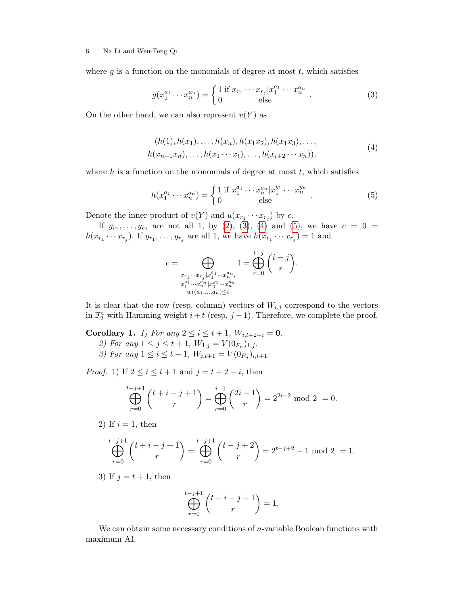where  $g$  is a function on the monomials of degree at most  $t$ , which satisfies

<span id="page-5-0"></span>
$$
g(x_1^{a_1} \cdots x_n^{a_n}) = \begin{cases} 1 \text{ if } x_{r_1} \cdots x_{r_j} | x_1^{a_1} \cdots x_n^{a_n} \\ 0 \qquad \text{else} \end{cases} (3)
$$

On the other hand, we can also represent  $v(Y)$  as

$$
(h(1), h(x_1), \ldots, h(x_n), h(x_1x_2), h(x_1x_3), \ldots, h(x_{n-1}x_n), \ldots, h(x_1 \cdots x_t), \ldots, h(x_{t+2} \cdots x_n)),
$$
\n
$$
(4)
$$

<span id="page-5-1"></span>where  $h$  is a function on the monomials of degree at most  $t$ , which satisfies

<span id="page-5-2"></span>
$$
h(x_1^{a_1} \cdots x_n^{a_n}) = \begin{cases} 1 \text{ if } x_1^{a_1} \cdots x_n^{a_n} | x_1^{y_1} \cdots x_n^{y_n} \\ 0 \qquad \text{else} \end{cases} . \tag{5}
$$

Denote the inner product of  $v(Y)$  and  $u(x_{r_1} \cdots x_{r_j})$  by c.

If  $y_{r_1}, \ldots, y_{r_j}$  are not all 1, by [\(2\)](#page-4-1), [\(3\)](#page-5-0), [\(4\)](#page-5-1) and [\(5\)](#page-5-2), we have  $c = 0 =$  $h(x_{r_1}\cdots x_{r_j})$ . If  $y_{r_1},\ldots,y_{r_j}$  are all 1, we have  $h(x_{r_1}\cdots x_{r_j})=1$  and

$$
c=\bigoplus_{\substack{x_{r_1}\cdots x_{r_j}|x_1^{a_1}\cdots x_n^{a_n}\\x_1^{a_1}\cdots x_n^{a_n}|x_1^{y_1}\cdots x_n^{y_n}\\wt(a_1,\ldots,a_n)\leq t}}1=\bigoplus_{r=0}^{t-j} \binom{i-j}{r}.
$$

It is clear that the row (resp. column) vectors of  $W_{i,j}$  correspond to the vectors in  $\mathbb{F}_2^n$  with Hamming weight  $i + t$  (resp. j - 1). Therefore, we complete the proof.

<span id="page-5-3"></span>Corollary 1. 1) For any  $2 \le i \le t + 1$ ,  $W_{i,t+2-i} = 0$ . 2) For any  $1 \le j \le t+1$ ,  $W_{1,j} = V(0_{F_n})_{1,j}$ . 3) For any  $1 \leq i \leq t+1$ ,  $W_{i,t+1} = V(0_{F_n})_{i,t+1}$ .

*Proof.* 1) If  $2 \leq i \leq t+1$  and  $j = t+2-i$ , then

$$
\bigoplus_{r=0}^{t-j+1} {t+i-j+1 \choose r} = \bigoplus_{r=0}^{i-1} {2i-1 \choose r} = 2^{2i-2} \mod 2 = 0.
$$

2) If  $i = 1$ , then

$$
\bigoplus_{r=0}^{t-j+1} {t+i-j+1 \choose r} = \bigoplus_{r=0}^{t-j+1} {t-j+2 \choose r} = 2^{t-j+2} - 1 \bmod 2 = 1.
$$

3) If  $j = t + 1$ , then

$$
\bigoplus_{r=0}^{t-j+1} \binom{t+i-j+1}{r} = 1.
$$

We can obtain some necessary conditions of  $n$ -variable Boolean functions with maximum AI.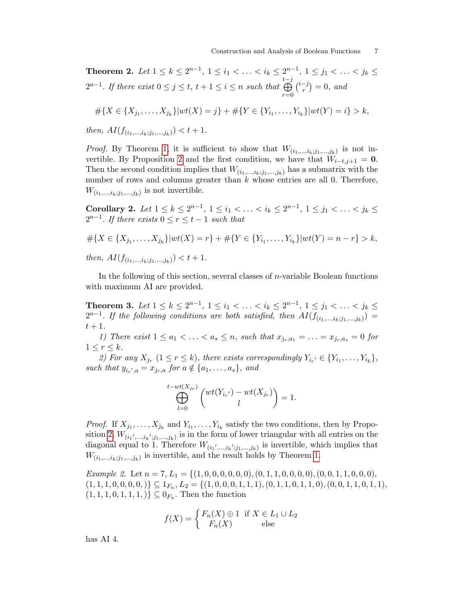Theorem 2. Let  $1 \le k \le 2^{n-1}$ ,  $1 \le i_1 < \ldots < i_k \le 2^{n-1}$ ,  $1 \le j_1 < \ldots < j_k \le$  $2^{n-1}$ . If there exist  $0 \leq j \leq t$ ,  $t + 1 \leq i \leq n$  such that t L−j  $r=0$  $\binom{i-j}{n}$  $r^{-j}$ ) = 0, and

$$
#{X \in {X_{j_1},...,X_{j_k}}|wt(X) = j} + #{Y \in {Y_{i_1},...,Y_{i_k}}|wt(Y) = i} > k,
$$

then,  $AI(f_{(i_1,...,i_k;j_1,...,j_k)}) < t+1$ .

*Proof.* By Theorem [1,](#page-3-2) it is sufficient to show that  $W_{(i_1,...,i_k;j_1,...,j_k)}$  is not in-vertible. By Proposition [2](#page-4-2) and the first condition, we have that  $W_{i-t,j+1} = 0$ . Then the second condition implies that  $W_{(i_1,...,i_k;j_1,...,j_k)}$  has a submatrix with the number of rows and columns greater than  $k$  whose entries are all 0. Therefore,  $W_{(i_1,\ldots,i_k;j_1,\ldots,j_k)}$  is not invertible.

Corollary 2. Let  $1 \le k \le 2^{n-1}$ ,  $1 \le i_1 < \ldots < i_k \le 2^{n-1}$ ,  $1 \le j_1 < \ldots < j_k \le$  $2^{n-1}$ . If there exists  $0 \le r \le t-1$  such that

$$
\# \{ X \in \{ X_{j_1}, \dots, X_{j_k} \} | wt(X) = r \} + \# \{ Y \in \{ Y_{i_1}, \dots, Y_{i_k} \} | wt(Y) = n - r \} > k,
$$
\n
$$
then, AI(f_{(i_1, \dots, i_k; j_1, \dots, j_k)}) < t + 1.
$$

In the following of this section, several classes of  $n$ -variable Boolean functions with maximum AI are provided.

Theorem 3. Let  $1 \leq k \leq 2^{n-1}$ ,  $1 \leq i_1 < \ldots < i_k \leq 2^{n-1}$ ,  $1 \leq j_1 < \ldots < j_k \leq$  $2^{n-1}$ . If the following conditions are both satisfied, then  $AI(f_{(i_1,...,i_k;j_1,...,j_k)}) =$  $t+1$ .

1) There exist  $1 \leq a_1 < \ldots < a_s \leq n$ , such that  $x_{i_r,a_1} = \ldots = x_{i_r,a_s} = 0$  for  $1 \leq r \leq k$ .

2) For any  $X_{j_r}$   $(1 \leq r \leq k)$ , there exists correspondingly  $Y_{i_{r'}} \in \{Y_{i_1}, \ldots, Y_{i_k}\},$ such that  $y_{i_r',a} = x_{j_r,a}$  for  $a \notin \{a_1, \ldots, a_s\}$ , and

$$
\bigoplus_{l=0}^{t-wt(X_{j_r})}\begin{pmatrix}wt(Y_{i_{r'}})-wt(X_{j_r})\\l\end{pmatrix}=1.
$$

*Proof.* If  $X_{j_1}, \ldots, X_{j_k}$  and  $Y_{i_1}, \ldots, Y_{i_k}$  satisfy the two conditions, then by Propo-sition [2,](#page-4-2)  $W_{(i_1',...,i_k';j_1,...,j_k)}$  is in the form of lower triangular with all entries on the diagonal equal to 1. Therefore  $W_{(i_1',...,i_k';j_1,...,j_k)}$  is invertible, which implies that  $W_{(i_1,\ldots,i_k;j_1,\ldots,j_k)}$  is invertible, and the result holds by Theorem [1.](#page-3-2)

Example 2. Let  $n = 7, L_1 = \{(1, 0, 0, 0, 0, 0, 0), (0, 1, 1, 0, 0, 0, 0), (0, 0, 1, 1, 0, 0, 0),\}$  $(1, 1, 1, 0, 0, 0, 0, 0) \subseteq 1_{F_n}, L_2 = \{(1, 0, 0, 0, 1, 1, 1), (0, 1, 1, 0, 1, 1, 0), (0, 0, 1, 1, 0, 1, 1),$  $(1, 1, 1, 0, 1, 1, 1, 1) \subseteq 0_{F_n}$ . Then the function

$$
f(X) = \begin{cases} F_n(X) \oplus 1 & \text{if } X \in L_1 \cup L_2 \\ F_n(X) & \text{else} \end{cases}
$$

has AI 4.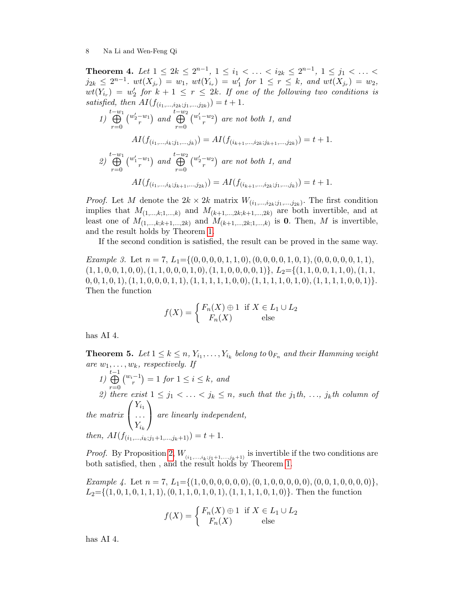Theorem 4. Let  $1 \leq 2k \leq 2^{n-1}$ ,  $1 \leq i_1 < \ldots < i_{2k} \leq 2^{n-1}$ ,  $1 \leq j_1 < \ldots <$  $j_{2k} \leq 2^{n-1}$ .  $wt(X_{j_r}) = w_1$ ,  $wt(Y_{i_r}) = w'_1$  for  $1 \leq r \leq k$ , and  $wt(X_{j_r}) = w_2$ ,  $wt(Y_{i_r}) = w'_2$  for  $k + 1 \leq r \leq 2k$ . If one of the following two conditions is satisfied, then  $AI(f_{(i_1,...,i_{2k};j_1,...,j_{2k})}) = t + 1.$ 

1) 
$$
\bigoplus_{r=0}^{t-w_1} \left( \begin{matrix} w_2'-w_1 \\ r \end{matrix} \right)
$$
 and  $\bigoplus_{r=0}^{t-w_2} \left( \begin{matrix} w_1'-w_2 \\ r \end{matrix} \right)$  are not both 1, and  
\n
$$
AI(f_{(i_1,...,i_k;j_1,...,j_k)}) = AI(f_{(i_{k+1},...,i_{2k};j_{k+1},...,j_{2k})}) = t+1.
$$
\n2)  $\bigoplus_{r=0}^{t-w_1} \left( \begin{matrix} w_1'-w_1 \\ r \end{matrix} \right)$  and  $\bigoplus_{r=0}^{t-w_2} \left( \begin{matrix} w_2'-w_2 \\ r \end{matrix} \right)$  are not both 1, and  
\n
$$
AI(f_{(i_1,...,i_k;j_{k+1},...,j_{2k})}) = AI(f_{(i_{k+1},...,i_{2k};j_1,...,j_k)}) = t+1.
$$

*Proof.* Let M denote the  $2k \times 2k$  matrix  $W_{(i_1,\ldots,i_{2k};j_1,\ldots,j_{2k})}$ . The first condition implies that  $M_{(1,...,k;1,...,k)}$  and  $M_{(k+1,...,2k;k+1,...,2k)}$  are both invertible, and at least one of  $M_{(1,\ldots,k;k+1,\ldots,2k)}$  and  $M_{(k+1,\ldots,2k;1,\ldots,k)}$  is 0. Then, M is invertible, and the result holds by Theorem [1.](#page-3-2)

If the second condition is satisfied, the result can be proved in the same way.

Example 3. Let  $n = 7$ ,  $L_1 = \{(0, 0, 0, 0, 1, 1, 0), (0, 0, 0, 0, 1, 0, 1), (0, 0, 0, 0, 0, 1, 1)\}$ (1, 1, 0, 0, 1, 0, 0),(1, 1, 0, 0, 0, 1, 0),(1, 1, 0, 0, 0, 0, 1)}, L2={(1, 1, 0, 0, 1, 1, 0),(1, 1,  $0, 0, 1, 0, 1), (1, 1, 0, 0, 0, 1, 1), (1, 1, 1, 1, 1, 0, 0), (1, 1, 1, 1, 0, 1, 0), (1, 1, 1, 1, 0, 0, 1)\}.$ Then the function

$$
f(X) = \begin{cases} F_n(X) \oplus 1 & \text{if } X \in L_1 \cup L_2 \\ F_n(X) & \text{else} \end{cases}
$$

has AI 4.

**Theorem 5.** Let  $1 \leq k \leq n$ ,  $Y_{i_1}, \ldots, Y_{i_k}$  belong to  $0_{F_n}$  and their Hamming weight are  $w_1, \ldots, w_k$ , respectively. If

1) t L−1  $r=0$  $\binom{w_i-1}{r} = 1$  for  $1 \leq i \leq k$ , and 2) there exist  $1 \leq j_1 < \ldots < j_k \leq n$ , such that the  $j_1$ th, ...,  $j_k$ th column of the matrix  $\sqrt{ }$  $\mathcal{L}$  $Y_{i_1}$ . . .  $Y_{i_k}$  $\setminus$  are linearly independent, then,  $AI(f_{(i_1,...,i_k;j_1+1,...,j_k+1)}) = t+1.$ 

*Proof.* By Proposition [2,](#page-4-2)  $W_{(i_1,\ldots,i_k;i_1+1,\ldots,j_k+1)}$  is invertible if the two conditions are both satisfied, then , and the result holds by Theorem [1.](#page-3-2)

<span id="page-7-0"></span>Example 4. Let  $n = 7$ ,  $L_1 = \{(1, 0, 0, 0, 0, 0, 0), (0, 1, 0, 0, 0, 0), (0, 0, 1, 0, 0, 0, 0)\},\$  $L_2=\{(1, 0, 1, 0, 1, 1, 1), (0, 1, 1, 0, 1, 0, 1), (1, 1, 1, 1, 0, 1, 0)\}.$  Then the function

$$
f(X) = \begin{cases} F_n(X) \oplus 1 & \text{if } X \in L_1 \cup L_2 \\ F_n(X) & \text{else} \end{cases}
$$

has AI 4.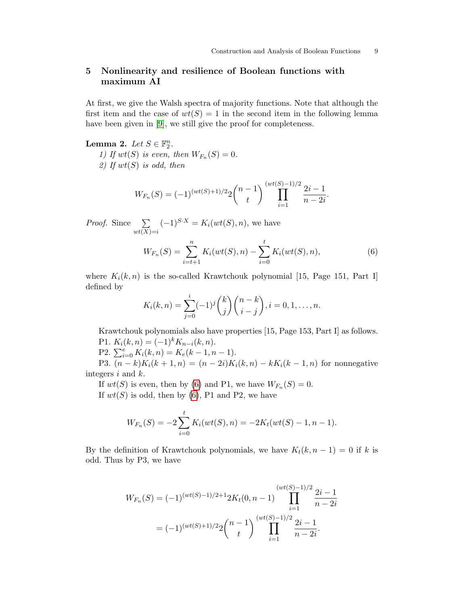# 5 Nonlinearity and resilience of Boolean functions with maximum AI

At first, we give the Walsh spectra of majority functions. Note that although the first item and the case of  $wt(S) = 1$  in the second item in the following lemma have been given in [\[9\]](#page-14-4), we still give the proof for completeness.

<span id="page-8-1"></span>Lemma 2. Let  $S \in \mathbb{F}_2^n$ .

1) If  $wt(S)$  is even, then  $W_{F_n}(S) = 0$ . 2) If  $wt(S)$  is odd, then

$$
W_{F_n}(S) = (-1)^{(wt(S)+1)/2} 2 {n-1 \choose t} \prod_{i=1}^{(wt(S)-1)/2} \frac{2i-1}{n-2i}.
$$

*Proof.* Since  $\sum$  $wt(X)=i$  $(-1)^{S \cdot X} = K_i(wt(S), n)$ , we have

<span id="page-8-0"></span>
$$
W_{F_n}(S) = \sum_{i=t+1}^n K_i(wt(S), n) - \sum_{i=0}^t K_i(wt(S), n),
$$
\n(6)

where  $K_i(k, n)$  is the so-called Krawtchouk polynomial [15, Page 151, Part I] defined by

$$
K_i(k,n) = \sum_{j=0}^i (-1)^j {k \choose j} {n-k \choose i-j}, i = 0,1,\ldots,n.
$$

Krawtchouk polynomials also have properties [15, Page 153, Part I] as follows. P1.  $K_i(k, n) = (-1)^k K_{n-i}(k, n).$ 

P2.  $\sum_{i=0}^{e} K_i(k, n) = K_e(k - 1, n - 1).$ 

P3.  $(n - k)K_i(k + 1, n) = (n - 2i)K_i(k, n) - kK_i(k - 1, n)$  for nonnegative integers  $i$  and  $k$ .

If  $wt(S)$  is even, then by [\(6\)](#page-8-0) and P1, we have  $W_{F_n}(S) = 0$ . If  $wt(S)$  is odd, then by [\(6\)](#page-8-0), P1 and P2, we have

$$
W_{F_n}(S) = -2\sum_{i=0}^t K_i(wt(S), n) = -2K_t(wt(S) - 1, n - 1).
$$

By the definition of Krawtchouk polynomials, we have  $K_t(k, n-1) = 0$  if k is odd. Thus by P3, we have

<span id="page-8-2"></span>
$$
W_{F_n}(S) = (-1)^{(wt(S)-1)/2+1} 2K_t(0, n-1) \prod_{i=1}^{(wt(S)-1)/2} \frac{2i-1}{n-2i}
$$
  
=  $(-1)^{(wt(S)+1)/2} 2\binom{n-1}{t} \prod_{i=1}^{(wt(S)-1)/2} \frac{2i-1}{n-2i}.$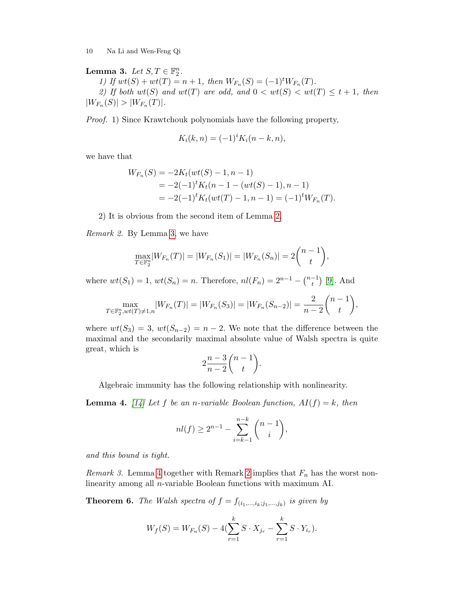# Lemma 3. Let  $S, T \in \mathbb{F}_2^n$ .

1) If  $wt(S) + wt(T) = n + 1$ , then  $W_{F_n}(S) = (-1)^t W_{F_n}(T)$ . 2) If both  $wt(S)$  and  $wt(T)$  are odd, and  $0 < wt(S) < wt(T) \le t + 1$ , then  $|W_{F_n}(S)| > |W_{F_n}(T)|.$ 

Proof. 1) Since Krawtchouk polynomials have the following property,

$$
K_i(k, n) = (-1)^i K_i(n - k, n),
$$

we have that

$$
W_{F_n}(S) = -2K_t(wt(S) - 1, n - 1)
$$
  
= -2(-1)<sup>t</sup>K<sub>t</sub>(n - 1 - (wt(S) - 1), n - 1)  
= -2(-1)<sup>t</sup>K<sub>t</sub>(wt(T) - 1, n - 1) = (-1)<sup>t</sup>W<sub>F\_n</sub>(T).

2) It is obvious from the second item of Lemma [2.](#page-8-1)

<span id="page-9-1"></span>Remark 2. By Lemma [3,](#page-8-2) we have

$$
\max_{T \in \mathbb{F}_2^n} |W_{F_n}(T)| = |W_{F_n}(S_1)| = |W_{F_n}(S_n)| = 2\binom{n-1}{t},
$$

where  $wt(S_1) = 1$ ,  $wt(S_n) = n$ . Therefore,  $nl(F_n) = 2^{n-1} - {n-1 \choose t}$  $\binom{-1}{t}$  [\[9\]](#page-14-4). And

$$
\max_{T \in \mathbb{F}_2^n, wt(T) \neq 1, n} |W_{F_n}(T)| = |W_{F_n}(S_3)| = |W_{F_n}(S_{n-2})| = \frac{2}{n-2} \binom{n-1}{t},
$$

where  $wt(S_3) = 3$ ,  $wt(S_{n-2}) = n-2$ . We note that the difference between the maximal and the secondarily maximal absolute value of Walsh spectra is quite great, which is

$$
2\frac{n-3}{n-2}\binom{n-1}{t}.
$$

Algebraic immunity has the following relationship with nonlinearity.

<span id="page-9-0"></span>**Lemma 4.** [\[14\]](#page-14-3) Let f be an n-variable Boolean function,  $AI(f) = k$ , then

$$
nl(f) \ge 2^{n-1} - \sum_{i=k-1}^{n-k} \binom{n-1}{i},
$$

and this bound is tight.

<span id="page-9-3"></span>*Remark 3.* Lemma [4](#page-9-0) together with Remark [2](#page-9-1) implies that  $F_n$  has the worst nonlinearity among all n-variable Boolean functions with maximum AI.

<span id="page-9-2"></span>**Theorem 6.** The Walsh spectra of  $f = f_{(i_1,...,i_k;j_1,...,j_k)}$  is given by

$$
W_f(S) = W_{F_n}(S) - 4(\sum_{r=1}^k S \cdot X_{j_r} - \sum_{r=1}^k S \cdot Y_{i_r}).
$$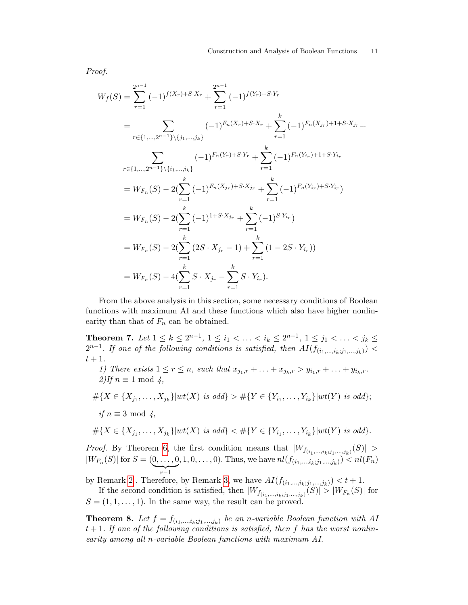Proof.

$$
W_f(S) = \sum_{r=1}^{2^{n-1}} (-1)^{f(X_r) + S \cdot X_r} + \sum_{r=1}^{2^{n-1}} (-1)^{f(Y_r) + S \cdot Y_r}
$$
  
\n
$$
= \sum_{r \in \{1, \ldots, 2^{n-1}\} \setminus \{j_1, \ldots, j_k\}} (-1)^{F_n(X_r) + S \cdot X_r} + \sum_{r=1}^k (-1)^{F_n(X_{j_r}) + 1 + S \cdot X_{j_r}} + \sum_{r \in \{1, \ldots, 2^{n-1}\} \setminus \{i_1, \ldots, i_k\}} (-1)^{F_n(Y_r) + S \cdot Y_r} + \sum_{r=1}^k (-1)^{F_n(Y_{i_r}) + 1 + S \cdot Y_{i_r}}
$$
  
\n
$$
= W_{F_n}(S) - 2(\sum_{r=1}^k (-1)^{F_n(X_{j_r}) + S \cdot X_{j_r}} + \sum_{r=1}^k (-1)^{F_n(Y_{i_r}) + S \cdot Y_{i_r}})
$$
  
\n
$$
= W_{F_n}(S) - 2(\sum_{r=1}^k (-1)^{1 + S \cdot X_{j_r}} + \sum_{r=1}^k (-1)^{S \cdot Y_{i_r}})
$$
  
\n
$$
= W_{F_n}(S) - 2(\sum_{r=1}^k (2S \cdot X_{j_r} - 1) + \sum_{r=1}^k (1 - 2S \cdot Y_{i_r}))
$$
  
\n
$$
= W_{F_n}(S) - 4(\sum_{r=1}^k S \cdot X_{j_r} - \sum_{r=1}^k S \cdot Y_{i_r}).
$$

From the above analysis in this section, some necessary conditions of Boolean functions with maximum AI and these functions which also have higher nonlinearity than that of  $F_n$  can be obtained.

Theorem 7. Let  $1 \leq k \leq 2^{n-1}$ ,  $1 \leq i_1 < \ldots < i_k \leq 2^{n-1}$ ,  $1 \leq j_1 < \ldots < j_k \leq$  $2^{n-1}$ . If one of the following conditions is satisfied, then  $AI(f_{(i_1,...,i_k;j_1,...,j_k)})$  $t+1$ .

1) There exists  $1 \le r \le n$ , such that  $x_{j_1,r} + ... + x_{j_k,r} > y_{i_1,r} + ... + y_{i_k,r}$ .  $2)$ If  $n \equiv 1 \mod 4$ ,

 $\#\{X \in \{X_{j_1}, \ldots, X_{j_k}\} | wt(X) \text{ is odd}\} > \#\{Y \in \{Y_{i_1}, \ldots, Y_{i_k}\} | wt(Y) \text{ is odd}\};$ if  $n \equiv 3 \mod 4$ ,

$$
\# \{ X \in \{X_{j_1}, \ldots, X_{j_k}\} | wt(X) \text{ is odd}\} < \# \{ Y \in \{Y_{i_1}, \ldots, Y_{i_k}\} | wt(Y) \text{ is odd}\}.
$$

*Proof.* By Theorem [6,](#page-9-2) the first condition means that  $|W_{f(i_1,\ldots,i_k;j_1,\ldots,j_k)}(S)| >$  $|W_{F_n}(S)|$  for  $S = (0, \ldots, 0)$  $\sum_{r-1}$ , 1, 0, . . . , 0). Thus, we have  $nl(f_{(i_1,...,i_k;j_1,...,j_k)}) < nl(F_n)$ 

by Remark [2](#page-9-1). Therefore, by Remark [3,](#page-9-3) we have  $AI(f_{(i_1,\ldots,i_k;j_1,\ldots,j_k)}) < t+1$ . If the second condition is satisfied, then  $|W_{f_{(i_1,...,i_k;j_1,...,j_k)}}(S)| > |W_{F_n}(S)|$  for  $S = (1, 1, \ldots, 1)$ . In the same way, the result can be proved.

<span id="page-10-0"></span>**Theorem 8.** Let  $f = f_{(i_1,...,i_k;j_1,...,j_k)}$  be an n-variable Boolean function with AI  $t + 1$ . If one of the following conditions is satisfied, then f has the worst nonlinearity among all n-variable Boolean functions with maximum AI.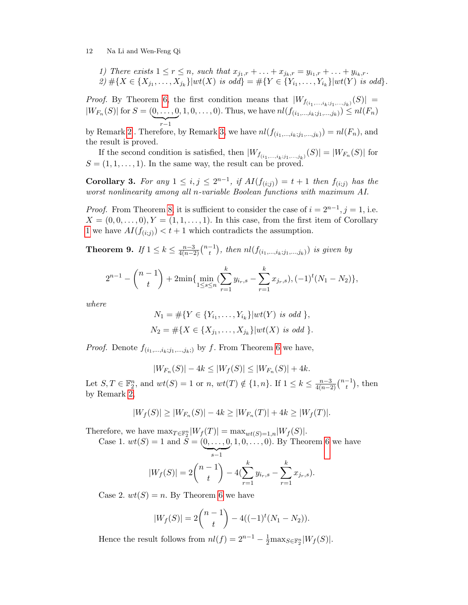1) There exists 
$$
1 \le r \le n
$$
, such that  $x_{j_1,r} + \ldots + x_{j_k,r} = y_{i_1,r} + \ldots + y_{i_k,r}$ .  
2)  $\#\{X \in \{X_{j_1}, \ldots, X_{j_k}\} | wt(X) \text{ is odd}\} = \#\{Y \in \{Y_{i_1}, \ldots, Y_{i_k}\} | wt(Y) \text{ is odd}\}.$ 

*Proof.* By Theorem [6,](#page-9-2) the first condition means that  $|W_{f_{(i_1,...,i_k;j_1,...,j_k)}}(S)| =$  $|W_{F_n}(S)|$  for  $S = (0, \ldots, 0)$  $\sum_{r-1}$  $(1, 1, 0, \ldots, 0)$ . Thus, we have  $nl(f_{(i_1, \ldots, i_k; j_1, \ldots, j_k)}) \leq nl(F_n)$ 

by Remark [2](#page-9-1). Therefore, by Remark [3,](#page-9-3) we have  $nl(f_{(i_1,...,i_k;j_1,...,j_k)}) = nl(F_n)$ , and the result is proved.

If the second condition is satisfied, then  $|W_{f_{(i_1,...,i_k;j_1,...,j_k)}}(S)| = |W_{F_n}(S)|$  for  $S = (1, 1, \ldots, 1)$ . In the same way, the result can be proved.

Corollary 3. For any  $1 \leq i, j \leq 2^{n-1}$ , if  $AI(f_{(i;j)}) = t+1$  then  $f_{(i;j)}$  has the worst nonlinearity among all n-variable Boolean functions with maximum AI.

*Proof.* From Theorem [8,](#page-10-0) it is sufficient to consider the case of  $i = 2^{n-1}$ ,  $j = 1$ , i.e.  $X = (0, 0, \ldots, 0), Y = (1, 1, \ldots, 1).$  In this case, from the first item of Corollary [1](#page-5-3) we have  $AI(f_{(i;j)}) < t+1$  which contradicts the assumption.

<span id="page-11-0"></span>Theorem 9. If  $1 \leq k \leq \frac{n-3}{4(n-3)}$  $\frac{n-3}{4(n-2)}\binom{n-1}{t}$  $\binom{-1}{t}$ , then  $nl(f_{(i_1,\ldots,i_k;j_1,\ldots,j_k)})$  is given by

$$
2^{n-1} - {n-1 \choose t} + 2\min\{\min_{1 \le s \le n} (\sum_{r=1}^k y_{i_r,s} - \sum_{r=1}^k x_{j_r,s}), (-1)^t (N_1 - N_2)\},\
$$

where

$$
N_1 = #\{Y \in \{Y_{i_1}, \dots, Y_{i_k}\} | wt(Y) \text{ is odd }\},
$$
  

$$
N_2 = #\{X \in \{X_{j_1}, \dots, X_{j_k}\} | wt(X) \text{ is odd }\}.
$$

*Proof.* Denote  $f_{(i_1,...,i_k;j_1,...,j_k;j)}$  by f. From Theorem [6](#page-9-2) we have,

$$
|W_{F_n}(S)| - 4k \le |W_f(S)| \le |W_{F_n}(S)| + 4k.
$$

Let  $S, T \in \mathbb{F}_2^n$ , and  $wt(S) = 1$  or  $n, wt(T) \notin \{1, n\}$ . If  $1 \leq k \leq \frac{n-3}{4(n-2)}$  $\frac{n-3}{4(n-2)}\binom{n-1}{t}$  $\binom{-1}{t}$ , then by Remark [2,](#page-9-1)

$$
|W_f(S)| \ge |W_{F_n}(S)| - 4k \ge |W_{F_n}(T)| + 4k \ge |W_f(T)|.
$$

Therefore, we have  $\max_{T \in \mathbb{F}_2^n} |W_f(T)| = \max_{wt(S)=1,n} |W_f(S)|$ .

Case 1.  $wt(S) = 1$  and  $S = (0, ..., 0)$  $\overline{\smash{)}\limits_{s-1}}$  $, 1, 0, \ldots, 0$ . By Theorem [6](#page-9-2) we have

$$
|W_f(S)| = 2\binom{n-1}{t} - 4\left(\sum_{r=1}^k y_{i_r,s} - \sum_{r=1}^k x_{j_r,s}\right).
$$

Case 2.  $wt(S) = n$ . By Theorem [6](#page-9-2) we have

$$
|W_f(S)| = 2\binom{n-1}{t} - 4((-1)^t(N_1 - N_2)).
$$

Hence the result follows from  $nl(f) = 2^{n-1} - \frac{1}{2} \max_{S \in \mathbb{F}_2^n} |W_f(S)|$ .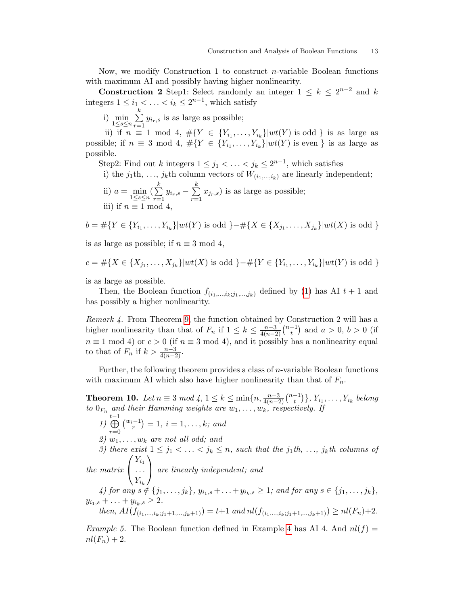Now, we modify Construction 1 to construct *n*-variable Boolean functions with maximum AI and possibly having higher nonlinearity.

**Construction 2** Step1: Select randomly an integer  $1 \leq k \leq 2^{n-2}$  and k integers  $1 \leq i_1 < \ldots < i_k \leq 2^{n-1}$ , which satisfy

i)  $\min_{1 \leq s \leq n} \sum_{r=1}^{k}$  $\sum_{r=1} y_{i_r,s}$  is as large as possible;

ii) if  $n \equiv 1 \mod 4$ ,  $\#\{Y \in \{Y_{i_1}, \ldots, Y_{i_k}\} | wt(Y) \text{ is odd }\}$  is as large as possible; if  $n \equiv 3 \mod 4$ ,  $\#\{Y \in \{Y_{i_1}, \ldots, Y_{i_k}\} | wt(Y) \text{ is even }\}$  is as large as possible.

Step2: Find out k integers  $1 \leq j_1 < \ldots < j_k \leq 2^{n-1}$ , which satisfies

i) the  $j_1$ th, ...,  $j_k$ th column vectors of  $W_{(i_1,...,i_k)}$  are linearly independent; ii)  $a = \min_{1 \leq s \leq n} (\sum_{r=1}^{k}$  $\sum_{r=1}^{k} y_{i_r,s} - \sum_{r=1}^{k}$  $\sum_{r=1} x_{j_r,s}$ ) is as large as possible;

iii) if  $n \equiv 1 \mod 4$ 

$$
b = \#\{Y \in \{Y_{i_1}, \ldots, Y_{i_k}\} | wt(Y) \text{ is odd } \} - \#\{X \in \{X_{j_1}, \ldots, X_{j_k}\} | wt(X) \text{ is odd } \}
$$

is as large as possible; if  $n \equiv 3 \mod 4$ ,

$$
c = \# \{ X \in \{X_{j_1}, \ldots, X_{j_k}\} | wt(X) \text{ is odd } \} - \# \{ Y \in \{Y_{i_1}, \ldots, Y_{i_k}\} | wt(Y) \text{ is odd } \}
$$

is as large as possible.

Then, the Boolean function  $f_{(i_1,...,i_k;j_1,...,j_k)}$  defined by [\(1\)](#page-3-1) has AI  $t+1$  and has possibly a higher nonlinearity.

Remark 4. From Theorem [9,](#page-11-0) the function obtained by Construction 2 will has a higher nonlinearity than that of  $F_n$  if  $1 \leq k \leq \frac{n-3}{4(n-2)}$  $\frac{n-3}{4(n-2)}\binom{n-1}{t}$  $\binom{-1}{t}$  and  $a > 0, b > 0$  (if  $n \equiv 1 \mod 4$  or  $c > 0$  (if  $n \equiv 3 \mod 4$ ), and it possibly has a nonlinearity equal to that of  $F_n$  if  $k > \frac{n-3}{4(n-2)}$ .

Further, the following theorem provides a class of  $n$ -variable Boolean functions with maximum AI which also have higher nonlinearity than that of  $F_n$ .

**Theorem 10.** Let  $n \equiv 3 \mod 4$ ,  $1 \le k \le \min\{n, \frac{n-3}{4(n-2)}\binom{n-1}{t}$  $\{t_i^{-1}\}, Y_{i_1}, \ldots, Y_{i_k}$  belong to  $0_{F_n}$  and their Hamming weights are  $w_1, \ldots, w_k$ , respectively. If

1) t L−1  $r=0$  $\binom{w_i-1}{r} = 1, i = 1, \ldots, k;$  and 2)  $w_1, \ldots, w_k$  are not all odd; and 3) there exist  $1 \leq j_1 < \ldots < j_k \leq n$ , such that the j<sub>1</sub>th, ..., j<sub>k</sub>th columns of the matrix  $\sqrt{ }$  $\mathcal{L}$  $Y_{i_1}$ . . .  $Y_{i_k}$  $\setminus$  are linearly independent; and 4) for any  $s \notin \{j_1, \ldots, j_k\}, y_{i_1,s} + \ldots + y_{i_k,s} \ge 1$ ; and for any  $s \in \{j_1, \ldots, j_k\},$  $y_{i_1,s} + \ldots + y_{i_k,s} \geq 2.$ then,  $AI(f_{(i_1,...,i_k;i_1+1,...,i_k+1)}) = t+1$  and  $nl(f_{(i_1,...,i_k;i_1+1,...,i_k+1)}) \geq nl(F_n)+2$ .

*Example 5.* The Boolean function defined in Example [4](#page-7-0) has AI 4. And  $nl(f)$  =  $nl(F_n) + 2.$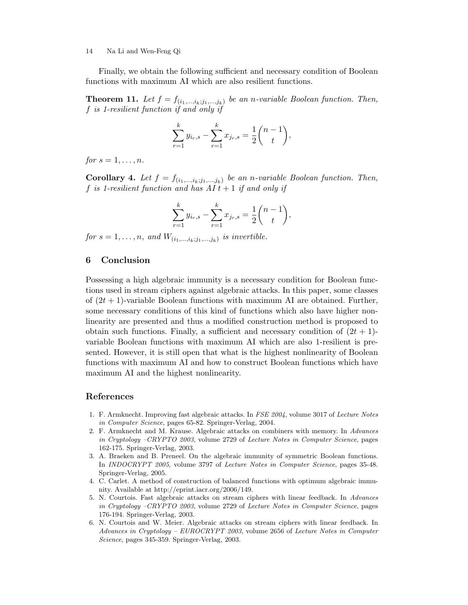Finally, we obtain the following sufficient and necessary condition of Boolean functions with maximum AI which are also resilient functions.

**Theorem 11.** Let  $f = f_{(i_1,...,i_k;j_1,...,j_k)}$  be an n-variable Boolean function. Then, f is 1-resilient function if and only if

$$
\sum_{r=1}^{k} y_{i_r,s} - \sum_{r=1}^{k} x_{j_r,s} = \frac{1}{2} \binom{n-1}{t},
$$

for  $s = 1, \ldots, n$ .

**Corollary 4.** Let  $f = f_{(i_1,...,i_k;j_1,...,j_k)}$  be an n-variable Boolean function. Then, f is 1-resilient function and has  $AI t + 1$  if and only if

$$
\sum_{r=1}^{k} y_{i_r,s} - \sum_{r=1}^{k} x_{j_r,s} = \frac{1}{2} \binom{n-1}{t},
$$

for  $s = 1, \ldots, n$ , and  $W_{(i_1,\ldots,i_k;j_1,\ldots,j_k)}$  is invertible.

# 6 Conclusion

Possessing a high algebraic immunity is a necessary condition for Boolean functions used in stream ciphers against algebraic attacks. In this paper, some classes of  $(2t + 1)$ -variable Boolean functions with maximum AI are obtained. Further, some necessary conditions of this kind of functions which also have higher nonlinearity are presented and thus a modified construction method is proposed to obtain such functions. Finally, a sufficient and necessary condition of  $(2t + 1)$ variable Boolean functions with maximum AI which are also 1-resilient is presented. However, it is still open that what is the highest nonlinearity of Boolean functions with maximum AI and how to construct Boolean functions which have maximum AI and the highest nonlinearity.

#### References

- <span id="page-13-0"></span>1. F. Armknecht. Improving fast algebraic attacks. In FSE 2004, volume 3017 of Lecture Notes in Computer Science, pages 65-82. Springer-Verlag, 2004.
- <span id="page-13-1"></span>2. F. Armknecht and M. Krause. Algebraic attacks on combiners with memory. In Advances in Cryptology –CRYPTO 2003, volume 2729 of Lecture Notes in Computer Science, pages 162-175. Springer-Verlag, 2003.
- <span id="page-13-4"></span>3. A. Braeken and B. Preneel. On the algebraic immunity of symmetric Boolean functions. In INDOCRYPT 2005, volume 3797 of Lecture Notes in Computer Science, pages 35-48. Springer-Verlag, 2005.
- <span id="page-13-5"></span>4. C. Carlet. A method of construction of balanced functions with optimum algebraic immunity. Available at http://eprint.iacr.org/2006/149.
- <span id="page-13-2"></span>5. N. Courtois. Fast algebraic attacks on stream ciphers with linear feedback. In Advances in Cryptology –CRYPTO 2003, volume 2729 of Lecture Notes in Computer Science, pages 176-194. Springer-Verlag, 2003.
- <span id="page-13-3"></span>6. N. Courtois and W. Meier. Algebraic attacks on stream ciphers with linear feedback. In Advances in Cryptology – EUROCRYPT 2003, volume 2656 of Lecture Notes in Computer Science, pages 345-359. Springer-Verlag, 2003.